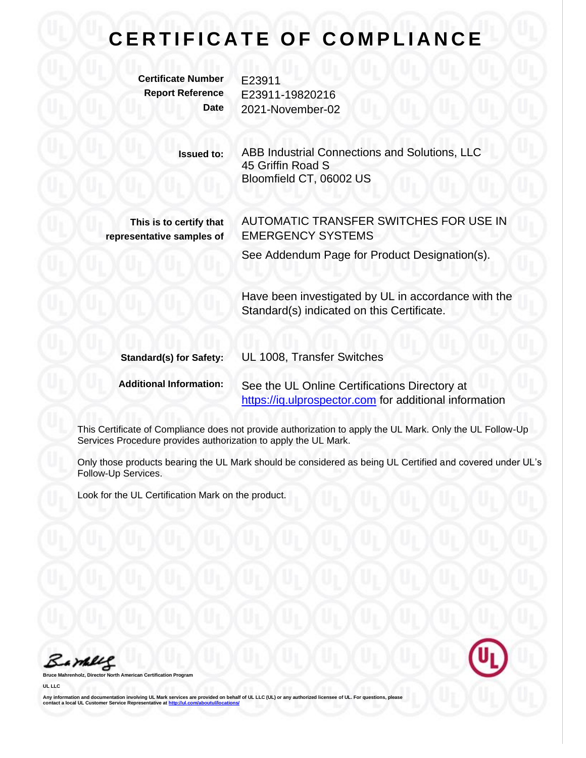## **CERTIFICATE OF COMPLIANCE**

**Certificate Number** E23911

**Report Reference** E23911-19820216 **Date** 2021-November-02

> **Issued to:** ABB Industrial Connections and Solutions, LLC 45 Griffin Road S Bloomfield CT, 06002 US

**This is to certify that representative samples of** AUTOMATIC TRANSFER SWITCHES FOR USE IN EMERGENCY SYSTEMS

See Addendum Page for Product Designation(s).

Have been investigated by UL in accordance with the Standard(s) indicated on this Certificate.

| <b>Standard(s) for Safety:</b> | UL 1008, Transfer Switches                             |
|--------------------------------|--------------------------------------------------------|
| <b>Additional Information:</b> | See the UL Online Certifications Directory at          |
|                                | https://iq.ulprospector.com for additional information |

This Certificate of Compliance does not provide authorization to apply the UL Mark. Only the UL Follow-Up Services Procedure provides authorization to apply the UL Mark.

Only those products bearing the UL Mark should be considered as being UL Certified and covered under UL's Follow-Up Services.

Look for the UL Certification Mark on the product.

Barney

**Broard** 

**UL LLC**

Any information and documentation involving UL Mark services are provided on behalf of UL LLC (UL) or any authorized licensee of UL. For questions, please<br>contact a local UL Customer Service Representative at <u>http://ul.co</u>